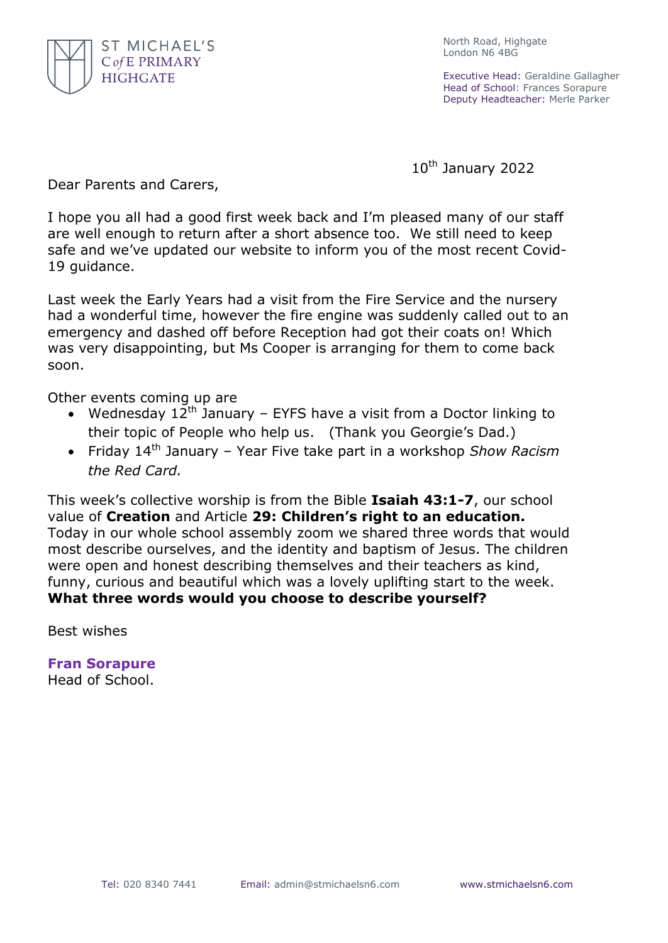

North Road, Highgate London N6 4BG

Executive Head: Geraldine Gallagher Head of School: Frances Sorapure Deputy Headteacher: Merle Parker

10th January 2022

Dear Parents and Carers,

I hope you all had a good first week back and I'm pleased many of our staff are well enough to return after a short absence too. We still need to keep safe and we've updated our website to inform you of the most recent Covid-19 guidance.

Last week the Early Years had a visit from the Fire Service and the nursery had a wonderful time, however the fire engine was suddenly called out to an emergency and dashed off before Reception had got their coats on! Which was very disappointing, but Ms Cooper is arranging for them to come back soon.

Other events coming up are

- Wednesday  $12^{th}$  January EYFS have a visit from a Doctor linking to their topic of People who help us. (Thank you Georgie's Dad.)
- Friday 14th January Year Five take part in a workshop *Show Racism the Red Card.*

This week's collective worship is from the Bible **Isaiah 43:1-7**, our school value of **Creation** and Article **29: Children's right to an education.** Today in our whole school assembly zoom we shared three words that would most describe ourselves, and the identity and baptism of Jesus. The children were open and honest describing themselves and their teachers as kind, funny, curious and beautiful which was a lovely uplifting start to the week. **What three words would you choose to describe yourself?**

Best wishes

**Fran Sorapure** Head of School.